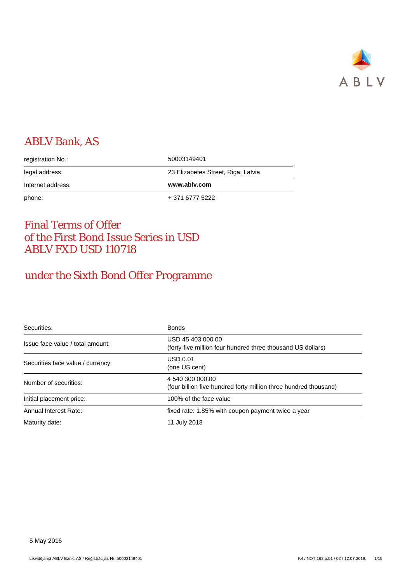

# ABLV Bank, AS

| registration No.: | 50003149401                        |
|-------------------|------------------------------------|
| legal address:    | 23 Elizabetes Street, Riga, Latvia |
|                   |                                    |
| Internet address: | www.ablv.com                       |

# Final Terms of Offer of the First Bond Issue Series in USD ABLV FXD USD 110718

# under the Sixth Bond Offer Programme

| Securities:                       | <b>Bonds</b>                                                                         |
|-----------------------------------|--------------------------------------------------------------------------------------|
| Issue face value / total amount:  | USD 45 403 000.00<br>(forty-five million four hundred three thousand US dollars)     |
| Securities face value / currency: | USD 0.01<br>(one US cent)                                                            |
| Number of securities:             | 4 540 300 000.00<br>(four billion five hundred forty million three hundred thousand) |
| Initial placement price:          | 100% of the face value                                                               |
| Annual Interest Rate:             | fixed rate: 1.85% with coupon payment twice a year                                   |
| Maturity date:                    | 11 July 2018                                                                         |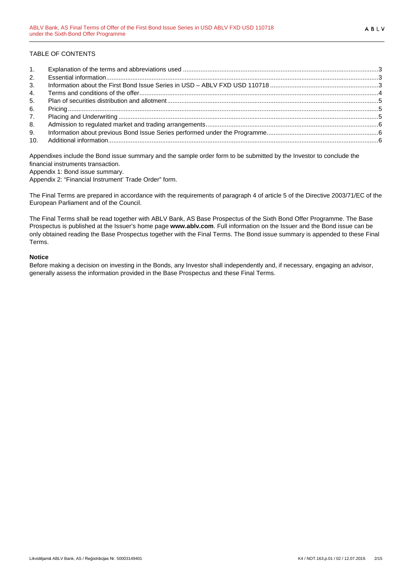# TABLE OF CONTENTS

| 1.             |  |
|----------------|--|
| 2.             |  |
| 3 <sub>1</sub> |  |
| 4.             |  |
| 5.             |  |
| 6.             |  |
| 7.             |  |
| 8.             |  |
| 9.             |  |
|                |  |

Appendixes include the Bond issue summary and the sample order form to be submitted by the Investor to conclude the financial instruments transaction.

Appendix 1: Bond issue summary.

Appendix 2: "Financial Instrument' Trade Order" form.

The Final Terms are prepared in accordance with the requirements of paragraph 4 of article 5 of the Directive 2003/71/EC of the European Parliament and of the Council.

The Final Terms shall be read together with ABLV Bank, AS Base Prospectus of the Sixth Bond Offer Programme. The Base Prospectus is published at the Issuer's home page **www.ablv.com**. Full information on the Issuer and the Bond issue can be only obtained reading the Base Prospectus together with the Final Terms. The Bond issue summary is appended to these Final Terms.

#### **Notice**

Before making a decision on investing in the Bonds, any Investor shall independently and, if necessary, engaging an advisor, generally assess the information provided in the Base Prospectus and these Final Terms.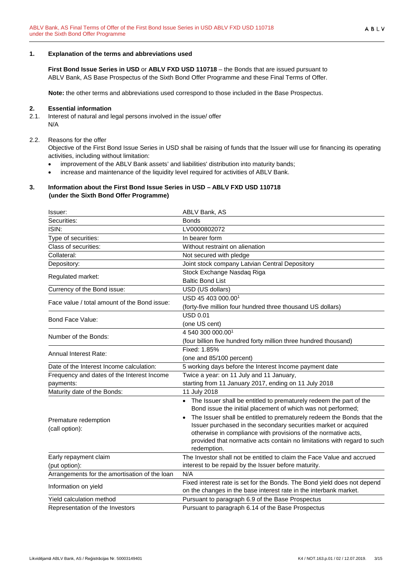#### <span id="page-2-0"></span>**1. Explanation of the terms and abbreviations used**

**First Bond Issue Series in USD** or **ABLV FXD USD 110718** – the Bonds that are issued pursuant to ABLV Bank, AS Base Prospectus of the Sixth Bond Offer Programme and these Final Terms of Offer.

**Note:** the other terms and abbreviations used correspond to those included in the Base Prospectus.

#### <span id="page-2-1"></span>**2. Essential information**

2.1. Interest of natural and legal persons involved in the issue/ offer N/A

#### 2.2. Reasons for the offer

Objective of the First Bond Issue Series in USD shall be raising of funds that the Issuer will use for financing its operating activities, including without limitation:

- improvement of the ABLV Bank assets' and liabilities' distribution into maturity bands;
- increase and maintenance of the liquidity level required for activities of ABLV Bank.

#### <span id="page-2-2"></span>**3. Information about the First Bond Issue Series in USD – ABLV FXD USD 110718 (under the Sixth Bond Offer Programme)**

| Issuer:                                                 | ABLV Bank, AS                                                                                                                                                                                                                                                                                                                                                                                                                                |
|---------------------------------------------------------|----------------------------------------------------------------------------------------------------------------------------------------------------------------------------------------------------------------------------------------------------------------------------------------------------------------------------------------------------------------------------------------------------------------------------------------------|
| Securities:                                             | <b>Bonds</b>                                                                                                                                                                                                                                                                                                                                                                                                                                 |
| ISIN:                                                   | LV0000802072                                                                                                                                                                                                                                                                                                                                                                                                                                 |
| Type of securities:                                     | In bearer form                                                                                                                                                                                                                                                                                                                                                                                                                               |
| Class of securities:                                    | Without restraint on alienation                                                                                                                                                                                                                                                                                                                                                                                                              |
| Collateral:                                             | Not secured with pledge                                                                                                                                                                                                                                                                                                                                                                                                                      |
| Depository:                                             | Joint stock company Latvian Central Depository                                                                                                                                                                                                                                                                                                                                                                                               |
| Regulated market:                                       | Stock Exchange Nasdaq Riga<br><b>Baltic Bond List</b>                                                                                                                                                                                                                                                                                                                                                                                        |
| Currency of the Bond issue:                             | USD (US dollars)                                                                                                                                                                                                                                                                                                                                                                                                                             |
| Face value / total amount of the Bond issue:            | USD 45 403 000.00 <sup>1</sup><br>(forty-five million four hundred three thousand US dollars)                                                                                                                                                                                                                                                                                                                                                |
| Bond Face Value:                                        | <b>USD 0.01</b><br>(one US cent)                                                                                                                                                                                                                                                                                                                                                                                                             |
| Number of the Bonds:                                    | 4 540 300 000.001<br>(four billion five hundred forty million three hundred thousand)                                                                                                                                                                                                                                                                                                                                                        |
| <b>Annual Interest Rate:</b>                            | Fixed: 1.85%<br>(one and 85/100 percent)                                                                                                                                                                                                                                                                                                                                                                                                     |
| Date of the Interest Income calculation:                | 5 working days before the Interest Income payment date                                                                                                                                                                                                                                                                                                                                                                                       |
| Frequency and dates of the Interest Income<br>payments: | Twice a year: on 11 July and 11 January,<br>starting from 11 January 2017, ending on 11 July 2018                                                                                                                                                                                                                                                                                                                                            |
| Maturity date of the Bonds:                             | 11 July 2018                                                                                                                                                                                                                                                                                                                                                                                                                                 |
| Premature redemption<br>(call option):                  | • The Issuer shall be entitled to prematurely redeem the part of the<br>Bond issue the initial placement of which was not performed;<br>The Issuer shall be entitled to prematurely redeem the Bonds that the<br>Issuer purchased in the secondary securities market or acquired<br>otherwise in compliance with provisions of the normative acts,<br>provided that normative acts contain no limitations with regard to such<br>redemption. |
| Early repayment claim                                   | The Investor shall not be entitled to claim the Face Value and accrued                                                                                                                                                                                                                                                                                                                                                                       |
| (put option):                                           | interest to be repaid by the Issuer before maturity.                                                                                                                                                                                                                                                                                                                                                                                         |
| Arrangements for the amortisation of the loan           | N/A                                                                                                                                                                                                                                                                                                                                                                                                                                          |
| Information on yield                                    | Fixed interest rate is set for the Bonds. The Bond yield does not depend<br>on the changes in the base interest rate in the interbank market.                                                                                                                                                                                                                                                                                                |
| Yield calculation method                                | Pursuant to paragraph 6.9 of the Base Prospectus                                                                                                                                                                                                                                                                                                                                                                                             |
| Representation of the Investors                         | Pursuant to paragraph 6.14 of the Base Prospectus                                                                                                                                                                                                                                                                                                                                                                                            |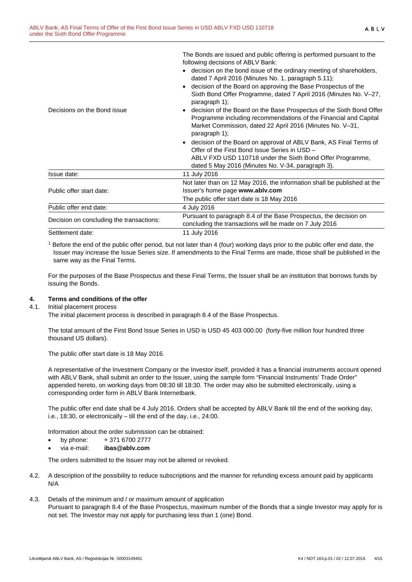The Bonds are issued and public offering is performed pursuant to the following decisions of ABLV Bank:

- decision on the bond issue of the ordinary meeting of shareholders, dated 7 April 2016 (Minutes No. 1, paragraph 5.11);
- decision of the Board on approving the Base Prospectus of the Sixth Bond Offer Programme, dated 7 April 2016 (Minutes No. V–27, paragraph 1);

| Decisions on the Bond issue              | decision of the Board on the Base Prospectus of the Sixth Bond Offer<br>$\bullet$<br>Programme including recommendations of the Financial and Capital<br>Market Commission, dated 22 April 2016 (Minutes No. V-31,<br>paragraph 1); |
|------------------------------------------|-------------------------------------------------------------------------------------------------------------------------------------------------------------------------------------------------------------------------------------|
|                                          | • decision of the Board on approval of ABLV Bank, AS Final Terms of<br>Offer of the First Bond Issue Series in USD -                                                                                                                |
|                                          | ABLV FXD USD 110718 under the Sixth Bond Offer Programme,<br>dated 5 May 2016 (Minutes No. V-34, paragraph 3).                                                                                                                      |
| Issue date:                              | 11 July 2016                                                                                                                                                                                                                        |
| Public offer start date:                 | Not later than on 12 May 2016, the information shall be published at the<br>Issuer's home page www.ablv.com                                                                                                                         |
|                                          | The public offer start date is 18 May 2016                                                                                                                                                                                          |
| Public offer end date:                   | 4 July 2016                                                                                                                                                                                                                         |
| Decision on concluding the transactions: | Pursuant to paragraph 8.4 of the Base Prospectus, the decision on<br>concluding the transactions will be made on 7 July 2016                                                                                                        |
| Settlement date:                         | 11 July 2016                                                                                                                                                                                                                        |

<sup>1</sup> Before the end of the public offer period, but not later than 4 (four) working days prior to the public offer end date, the Issuer may increase the Issue Series size. If amendments to the Final Terms are made, those shall be published in the same way as the Final Terms.

For the purposes of the Base Prospectus and these Final Terms, the Issuer shall be an institution that borrows funds by issuing the Bonds.

# <span id="page-3-0"></span>**4. Terms and conditions of the offer**

4.1. Initial placement process

The initial placement process is described in paragraph 8.4 of the Base Prospectus.

The total amount of the First Bond Issue Series in USD is USD 45 403 000.00 (forty-five million four hundred three thousand US dollars).

The public offer start date is 18 May 2016.

A representative of the Investment Company or the Investor itself, provided it has a financial instruments account opened with ABLV Bank, shall submit an order to the Issuer, using the sample form "Financial Instruments' Trade Order" appended hereto, on working days from 08:30 till 18:30. The order may also be submitted electronically, using a corresponding order form in ABLV Bank Internetbank.

The public offer end date shall be 4 July 2016. Orders shall be accepted by ABLV Bank till the end of the working day, i.e., 18:30, or electronically – till the end of the day, i.e., 24:00.

Information about the order submission can be obtained:

- by phone:  $+371\,6700\,2777$
- via e-mail: **ibas@ablv.com**

The orders submitted to the Issuer may not be altered or revoked.

- 4.2. A description of the possibility to reduce subscriptions and the manner for refunding excess amount paid by applicants N/A
- 4.3. Details of the minimum and / or maximum amount of application Pursuant to paragraph 8.4 of the Base Prospectus, maximum number of the Bonds that a single Investor may apply for is not set. The Investor may not apply for purchasing less than 1 (one) Bond.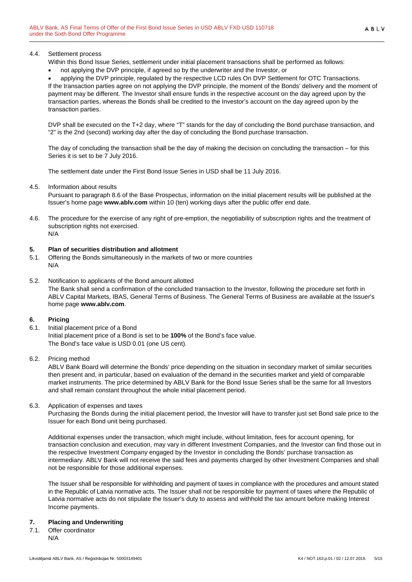#### 4.4. Settlement process

Within this Bond Issue Series, settlement under initial placement transactions shall be performed as follows:

• not applying the DVP principle, if agreed so by the underwriter and the Investor, or

• applying the DVP principle, regulated by the respective LCD rules On DVP Settlement for OTC Transactions. If the transaction parties agree on not applying the DVP principle, the moment of the Bonds' delivery and the moment of payment may be different. The Investor shall ensure funds in the respective account on the day agreed upon by the transaction parties, whereas the Bonds shall be credited to the Investor's account on the day agreed upon by the transaction parties.

DVP shall be executed on the T+2 day, where "T" stands for the day of concluding the Bond purchase transaction, and "2" is the 2nd (second) working day after the day of concluding the Bond purchase transaction.

The day of concluding the transaction shall be the day of making the decision on concluding the transaction – for this Series it is set to be 7 July 2016.

The settlement date under the First Bond Issue Series in USD shall be 11 July 2016.

#### 4.5. Information about results

Pursuant to paragraph 8.6 of the Base Prospectus, information on the initial placement results will be published at the Issuer's home page **www.ablv.com** within 10 (ten) working days after the public offer end date.

4.6. The procedure for the exercise of any right of pre-emption, the negotiability of subscription rights and the treatment of subscription rights not exercised. N/A

# <span id="page-4-0"></span>**5. Plan of securities distribution and allotment**

5.1. Offering the Bonds simultaneously in the markets of two or more countries N/A

#### 5.2. Notification to applicants of the Bond amount allotted The Bank shall send a confirmation of the concluded transaction to the Investor, following the procedure set forth in ABLV Capital Markets, IBAS, General Terms of Business. The General Terms of Business are available at the Issuer's home page **[www.ablv.com](http://www.ablv.com/)**.

# <span id="page-4-1"></span>**6. Pricing**

6.1. Initial placement price of a Bond Initial placement price of a Bond is set to be **100%** of the Bond's face value. The Bond's face value is USD 0.01 (one US cent).

# 6.2. Pricing method

ABLV Bank Board will determine the Bonds' price depending on the situation in secondary market of similar securities then present and, in particular, based on evaluation of the demand in the securities market and yield of comparable market instruments. The price determined by ABLV Bank for the Bond Issue Series shall be the same for all Investors and shall remain constant throughout the whole initial placement period.

#### 6.3. Application of expenses and taxes

Purchasing the Bonds during the initial placement period, the Investor will have to transfer just set Bond sale price to the Issuer for each Bond unit being purchased.

Additional expenses under the transaction, which might include, without limitation, fees for account opening, for transaction conclusion and execution, may vary in different Investment Companies, and the Investor can find those out in the respective Investment Company engaged by the Investor in concluding the Bonds' purchase transaction as intermediary. ABLV Bank will not receive the said fees and payments charged by other Investment Companies and shall not be responsible for those additional expenses.

The Issuer shall be responsible for withholding and payment of taxes in compliance with the procedures and amount stated in the Republic of Latvia normative acts. The Issuer shall not be responsible for payment of taxes where the Republic of Latvia normative acts do not stipulate the Issuer's duty to assess and withhold the tax amount before making Interest Income payments.

# <span id="page-4-2"></span>**7. Placing and Underwriting**

7.1. Offer coordinator N/A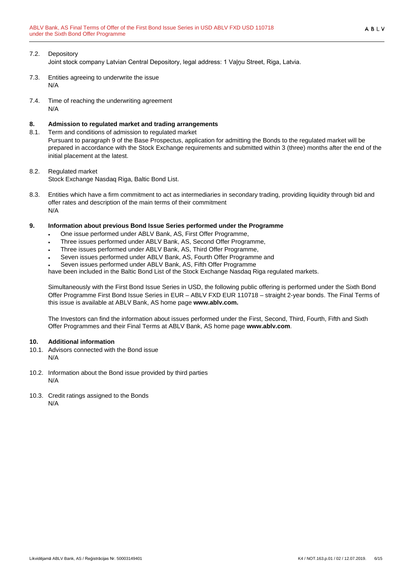# 7.2. Depository

Joint stock company Latvian Central Depository, legal address: 1 Vaļņu Street, Riga, Latvia.

- 7.3. Entities agreeing to underwrite the issue N/A
- 7.4. Time of reaching the underwriting agreement N/A

# <span id="page-5-0"></span>**8. Admission to regulated market and trading arrangements**

Term and conditions of admission to regulated market Pursuant to paragraph 9 of the Base Prospectus, application for admitting the Bonds to the regulated market will be prepared in accordance with the Stock Exchange requirements and submitted within 3 (three) months after the end of the initial placement at the latest.

# 8.2. Regulated market

Stock Exchange Nasdaq Riga, Baltic Bond List.

8.3. Entities which have a firm commitment to act as intermediaries in secondary trading, providing liquidity through bid and offer rates and description of the main terms of their commitment N/A

# <span id="page-5-1"></span>**9. Information about previous Bond Issue Series performed under the Programme**

- One issue performed under ABLV Bank, AS, First Offer Programme,
- Three issues performed under ABLV Bank, AS, Second Offer Programme,
- Three issues performed under ABLV Bank, AS, Third Offer Programme,
- Seven issues performed under ABLV Bank, AS, Fourth Offer Programme and
- Seven issues performed under ABLV Bank, AS, Fifth Offer Programme

have been included in the Baltic Bond List of the Stock Exchange Nasdaq Riga regulated markets.

Simultaneously with the First Bond Issue Series in USD, the following public offering is performed under the Sixth Bond Offer Programme First Bond Issue Series in EUR – ABLV FXD EUR 110718 – straight 2-year bonds. The Final Terms of this issue is available at ABLV Bank, AS home page **www.ablv.com.**

The Investors can find the information about issues performed under the First, Second, Third, Fourth, Fifth and Sixth Offer Programmes and their Final Terms at ABLV Bank, AS home page **[www.ablv.com](http://www.ablv.com/)**.

# <span id="page-5-2"></span>**10. Additional information**

- 10.1. Advisors connected with the Bond issue N/A
- 10.2. Information about the Bond issue provided by third parties N/A
- 10.3. Credit ratings assigned to the Bonds N/A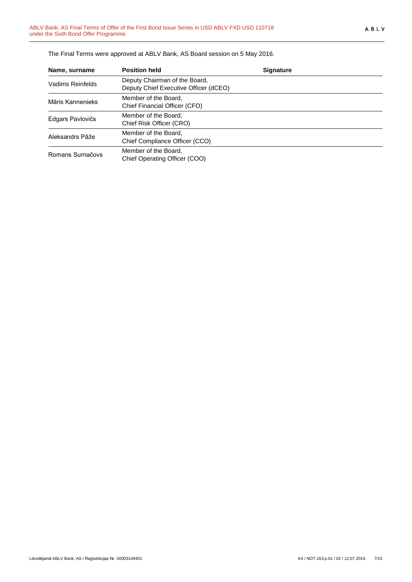| Name, surname    | <b>Position held</b>                                                   | <b>Signature</b> |
|------------------|------------------------------------------------------------------------|------------------|
| Vadims Reinfelds | Deputy Chairman of the Board,<br>Deputy Chief Executive Officer (dCEO) |                  |
| Māris Kannenieks | Member of the Board,<br>Chief Financial Officer (CFO)                  |                  |
| Edgars Pavlovičs | Member of the Board,<br>Chief Risk Officer (CRO)                       |                  |
| Aleksandrs Pāže  | Member of the Board,<br>Chief Compliance Officer (CCO)                 |                  |
| Romans Surnačovs | Member of the Board,<br>Chief Operating Officer (COO)                  |                  |

The Final Terms were approved at ABLV Bank, AS Board session on 5 May 2016.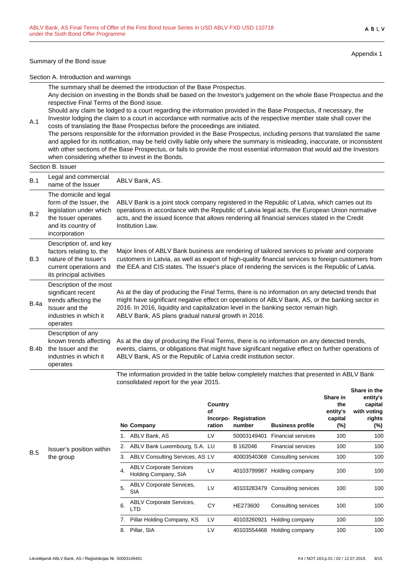#### Summary of the Bond issue

Appendix 1

Section A. Introduction and warnings

The summary shall be deemed the introduction of the Base Prospectus.

Any decision on investing in the Bonds shall be based on the Investor's judgement on the whole Base Prospectus and the respective Final Terms of the Bond issue.

Should any claim be lodged to a court regarding the information provided in the Base Prospectus, if necessary, the Investor lodging the claim to a court in accordance with normative acts of the respective member state shall cover the costs of translating the Base Prospectus before the proceedings are initiated.

The persons responsible for the information provided in the Base Prospectus, including persons that translated the same and applied for its notification, may be held civilly liable only where the summary is misleading, inaccurate, or inconsistent with other sections of the Base Prospectus, or fails to provide the most essential information that would aid the Investors when considering whether to invest in the Bonds.

A.1

|      | וטטטו וטעשט                                                                                                                                |                                                                                                                                                                                                                                                                                                                                                   |  |  |  |  |
|------|--------------------------------------------------------------------------------------------------------------------------------------------|---------------------------------------------------------------------------------------------------------------------------------------------------------------------------------------------------------------------------------------------------------------------------------------------------------------------------------------------------|--|--|--|--|
| B.1  | Legal and commercial<br>name of the Issuer                                                                                                 | ABLV Bank, AS.                                                                                                                                                                                                                                                                                                                                    |  |  |  |  |
| B.2  | The domicile and legal<br>form of the Issuer, the<br>legislation under which<br>the Issuer operates<br>and its country of<br>incorporation | ABLV Bank is a joint stock company registered in the Republic of Latvia, which carries out its<br>operations in accordance with the Republic of Latvia legal acts, the European Union normative<br>acts, and the issued licence that allows rendering all financial services stated in the Credit<br>Institution Law.                             |  |  |  |  |
| B.3  | Description of, and key<br>factors relating to, the<br>nature of the Issuer's<br>current operations and<br>its principal activities        | Major lines of ABLV Bank business are rendering of tailored services to private and corporate<br>customers in Latvia, as well as export of high-quality financial services to foreign customers from<br>the EEA and CIS states. The Issuer's place of rendering the services is the Republic of Latvia.                                           |  |  |  |  |
| B.4a | Description of the most<br>significant recent<br>trends affecting the<br>Issuer and the<br>industries in which it<br>operates              | As at the day of producing the Final Terms, there is no information on any detected trends that<br>might have significant negative effect on operations of ABLV Bank, AS, or the banking sector in<br>2016. In 2016, liquidity and capitalization level in the banking sector remain high.<br>ABLV Bank, AS plans gradual natural growth in 2016. |  |  |  |  |
| B.4b | Description of any<br>known trends affecting<br>the Issuer and the<br>industries in which it<br>operates                                   | As at the day of producing the Final Terms, there is no information on any detected trends,<br>events, claims, or obligations that might have significant negative effect on further operations of<br>ABLV Bank, AS or the Republic of Latvia credit institution sector.                                                                          |  |  |  |  |

The information provided in the table below completely matches that presented in ABLV Bank consolidated report for the year 2015. **Share in the**

|    | No Company                                             | Country<br>οf<br>Incorpo-<br>ration | Registration<br>number | <b>Business profile</b>         | Share in<br>the<br>entity's<br>capital<br>(%) | טווטו ט ווו עוש<br>entity's<br>capital<br>with voting<br>rights<br>(%) |
|----|--------------------------------------------------------|-------------------------------------|------------------------|---------------------------------|-----------------------------------------------|------------------------------------------------------------------------|
|    | ABLV Bank, AS                                          | LV                                  | 50003149401            | <b>Financial services</b>       | 100                                           | 100                                                                    |
| 2. | ABLV Bank Luxembourg, S.A. LU                          |                                     | B 162048               | <b>Financial services</b>       | 100                                           | 100                                                                    |
| 3. | ABLV Consulting Services, AS LV                        |                                     | 40003540368            | Consulting services             | 100                                           | 100                                                                    |
| 4. | <b>ABLV Corporate Services</b><br>Holding Company, SIA | LV                                  | 40103799987            | Holding company                 | 100                                           | 100                                                                    |
| 5. | <b>ABLV Corporate Services,</b><br><b>SIA</b>          | LV                                  |                        | 40103283479 Consulting services | 100                                           | 100                                                                    |
| 6. | <b>ABLV Corporate Services,</b><br>LTD                 | CY                                  | HE273600               | Consulting services             | 100                                           | 100                                                                    |
| 7. | Pillar Holding Company, KS                             | LV                                  | 40103260921            | Holding company                 | 100                                           | 100                                                                    |
| 8. | Pillar, SIA                                            | LV                                  | 40103554468            | Holding company                 | 100                                           | 100                                                                    |
|    |                                                        |                                     |                        |                                 |                                               |                                                                        |

B.5 Issuer's position within the group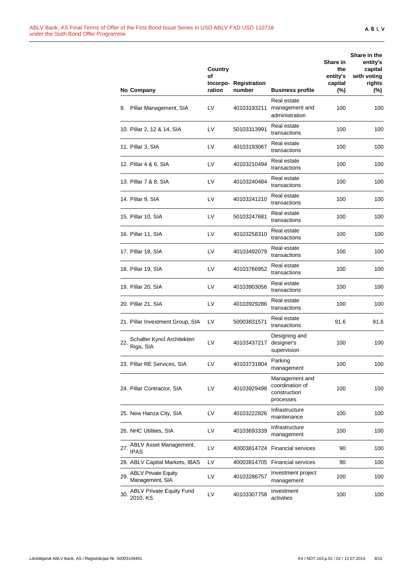| No Company                                           | Country<br>Οf<br>ration | Incorpo-Registration<br>number | <b>Business profile</b>                                        | Share in<br>the<br>entity's<br>capital<br>$(\%)$ | Share in the<br>entity's<br>capital<br>with voting<br>rights<br>$(\%)$ |
|------------------------------------------------------|-------------------------|--------------------------------|----------------------------------------------------------------|--------------------------------------------------|------------------------------------------------------------------------|
| Pillar Management, SIA<br>9.                         | LV                      | 40103193211                    | Real estate<br>management and<br>administration                | 100                                              | 100                                                                    |
| 10. Pillar 2, 12 & 14, SIA                           | LV                      | 50103313991                    | Real estate<br>transactions                                    | 100                                              | 100                                                                    |
| 11. Pillar 3, SIA                                    | LV                      | 40103193067                    | Real estate<br>transactions                                    | 100                                              | 100                                                                    |
| 12. Pillar 4 & 6, SIA                                | LV                      | 40103210494                    | Real estate<br>transactions                                    | 100                                              | 100                                                                    |
| 13. Pillar 7 & 8, SIA                                | LV                      | 40103240484                    | Real estate<br>transactions                                    | 100                                              | 100                                                                    |
| 14. Pillar 9, SIA                                    | LV                      | 40103241210                    | Real estate<br>transactions                                    | 100                                              | 100                                                                    |
| 15. Pillar 10, SIA                                   | LV                      | 50103247681                    | Real estate<br>transactions                                    | 100                                              | 100                                                                    |
| 16. Pillar 11, SIA                                   | LV                      | 40103258310                    | Real estate<br>transactions                                    | 100                                              | 100                                                                    |
| 17. Pillar 18, SIA                                   | LV                      | 40103492079                    | Real estate<br>transactions                                    | 100                                              | 100                                                                    |
| 18. Pillar 19, SIA                                   | LV                      | 40103766952                    | Real estate<br>transactions                                    | 100                                              | 100                                                                    |
| 19. Pillar 20, SIA                                   | LV                      | 40103903056                    | Real estate<br>transactions                                    | 100                                              | 100                                                                    |
| 20. Pillar 21, SIA                                   | LV                      | 40103929286                    | Real estate<br>transactions                                    | 100                                              | 100                                                                    |
| 21. Pillar Investment Group, SIA                     | LV                      | 50003831571                    | Real estate<br>transactions                                    | 91.6                                             | 91.6                                                                   |
| Schaller Kyncl Architekten<br>22.<br>Riga, SIA       | LV                      | 40103437217                    | Designing and<br>designer's<br>supervision                     | 100                                              | 100                                                                    |
| 23. Pillar RE Services, SIA                          | LV                      | 40103731804                    | Parking<br>management                                          | 100                                              | 100                                                                    |
| 24. Pillar Contractor, SIA                           | LV                      | 40103929498                    | Management and<br>coordination of<br>construction<br>processes | 100                                              | 100                                                                    |
| 25. New Hanza City, SIA                              | LV                      | 40103222826                    | Infrastructure<br>maintenance                                  | 100                                              | 100                                                                    |
| 26. NHC Utilities, SIA                               | LV                      | 40103693339                    | Infrastructure<br>management                                   | 100                                              | 100                                                                    |
| ABLV Asset Management,<br>27.<br><b>IPAS</b>         | LV                      | 40003814724                    | <b>Financial services</b>                                      | 90                                               | 100                                                                    |
| 28. ABLV Capital Markets, IBAS                       | LV                      |                                | 40003814705 Financial services                                 | 90                                               | 100                                                                    |
| <b>ABLV Private Equity</b><br>29.<br>Management, SIA | LV                      | 40103286757                    | Investment project<br>management                               | 100                                              | 100                                                                    |
| <b>ABLV Private Equity Fund</b><br>30.<br>2010, KS   | LV                      | 40103307758                    | Investment<br>activities                                       | 100                                              | 100                                                                    |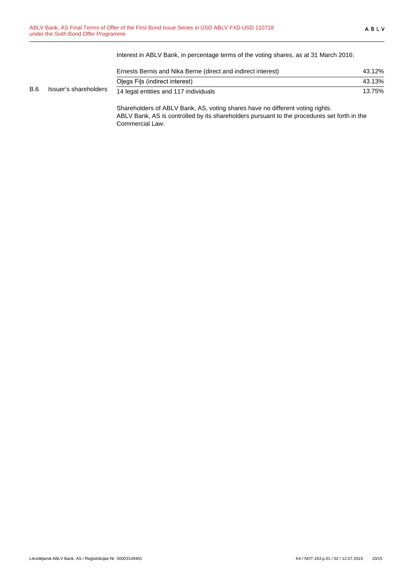$B.6$ 

Interest in ABLV Bank, in percentage terms of the voting shares, as at 31 March 2016:

|                       | Ernests Bernis and Nika Berne (direct and indirect interest) | 43.12% |
|-----------------------|--------------------------------------------------------------|--------|
|                       | Olegs Fils (indirect interest)                               | 43.13% |
| Issuer's shareholders | 14 legal entities and 117 individuals                        | 13.75% |

Shareholders of ABLV Bank, AS, voting shares have no different voting rights. ABLV Bank, AS is controlled by its shareholders pursuant to the procedures set forth in the Commercial Law.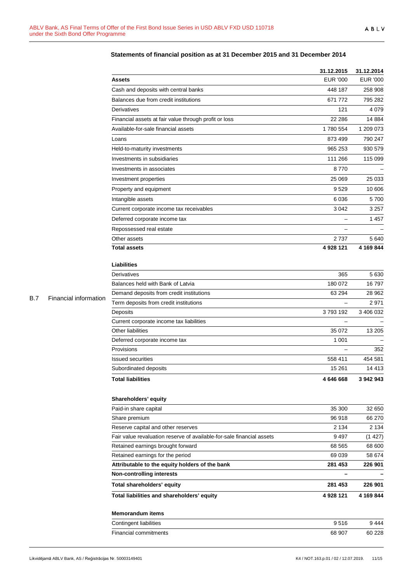|            |                       |                                                                       | 31.12.2015               | 31.12.2014      |
|------------|-----------------------|-----------------------------------------------------------------------|--------------------------|-----------------|
|            |                       | <b>Assets</b>                                                         | <b>EUR '000</b>          | <b>EUR '000</b> |
|            |                       | Cash and deposits with central banks                                  | 448 187                  | 258 908         |
|            |                       | Balances due from credit institutions                                 | 671 772                  | 795 282         |
|            |                       | Derivatives                                                           | 121                      | 4 0 7 9         |
|            |                       | Financial assets at fair value through profit or loss                 | 22 28 6                  | 14 8 84         |
|            |                       | Available-for-sale financial assets                                   | 1780 554                 | 1 209 073       |
|            |                       | Loans                                                                 | 873 499                  | 790 247         |
|            |                       | Held-to-maturity investments                                          | 965 253                  | 930 579         |
|            |                       | Investments in subsidiaries                                           | 111 266                  | 115 099         |
|            |                       | Investments in associates                                             | 8770                     |                 |
|            |                       | Investment properties                                                 | 25 069                   | 25 033          |
|            |                       | Property and equipment                                                | 9529                     | 10 606          |
|            |                       | Intangible assets                                                     | 6 0 36                   | 5700            |
|            |                       | Current corporate income tax receivables                              | 3 0 4 2                  | 3 2 5 7         |
|            |                       | Deferred corporate income tax                                         | $\overline{\phantom{0}}$ | 1457            |
|            |                       | Repossessed real estate                                               | —                        |                 |
|            |                       | Other assets                                                          | 2737                     | 5640            |
|            |                       | <b>Total assets</b>                                                   | 4 928 121                | 4 169 844       |
|            |                       |                                                                       |                          |                 |
|            |                       | Liabilities                                                           |                          |                 |
|            |                       | Derivatives                                                           | 365                      | 5630            |
|            |                       | Balances held with Bank of Latvia                                     | 180 072                  | 16797           |
| <b>B.7</b> |                       | Demand deposits from credit institutions                              | 63 294                   | 28 962          |
|            | Financial information | Term deposits from credit institutions                                | -                        | 2971            |
|            |                       | Deposits                                                              | 3793192                  | 3 406 032       |
|            |                       | Current corporate income tax liabilities                              |                          |                 |
|            |                       | Other liabilities                                                     | 35 072                   | 13 205          |
|            |                       | Deferred corporate income tax                                         | 1 0 0 1                  |                 |
|            |                       | Provisions                                                            |                          | 352             |
|            |                       | <b>Issued securities</b>                                              | 558 411                  | 454 581         |
|            |                       | Subordinated deposits                                                 | 15 261                   | 14 4 13         |
|            |                       | <b>Total liabilities</b>                                              | 4 646 668                | 3 942 943       |
|            |                       | Shareholders' equity                                                  |                          |                 |
|            |                       | Paid-in share capital                                                 | 35 300                   | 32 650          |
|            |                       | Share premium                                                         | 96918                    | 66 270          |
|            |                       | Reserve capital and other reserves                                    | 2 1 3 4                  | 2 1 3 4         |
|            |                       | Fair value revaluation reserve of available-for-sale financial assets | 9 4 9 7                  | (1427)          |
|            |                       | Retained earnings brought forward                                     | 68 565                   | 68 600          |
|            |                       | Retained earnings for the period                                      | 69 039                   | 58 674          |
|            |                       | Attributable to the equity holders of the bank                        | 281 453                  | 226 901         |
|            |                       | <b>Non-controlling interests</b>                                      | $\overline{\phantom{0}}$ |                 |
|            |                       | Total shareholders' equity                                            | 281 453                  | 226 901         |
|            |                       | Total liabilities and shareholders' equity                            | 4 928 121                | 4 169 844       |
|            |                       | <b>Memorandum items</b>                                               |                          |                 |
|            |                       | Contingent liabilities                                                | 9516                     | 9444            |
|            |                       | Financial commitments                                                 | 68 907                   | 60 228          |

# **Statements of financial position as at 31 December 2015 and 31 December 2014**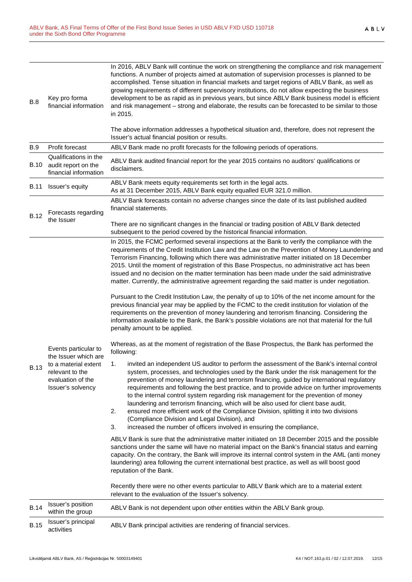| <b>B.15</b> | Issuer's principal<br>activities                                                                                                  | ABLV Bank principal activities are rendering of financial services.                                                                                                                                                                                                                                                                                                                                                                                                                                                                                                                                                                                                                                                                                                                                    |
|-------------|-----------------------------------------------------------------------------------------------------------------------------------|--------------------------------------------------------------------------------------------------------------------------------------------------------------------------------------------------------------------------------------------------------------------------------------------------------------------------------------------------------------------------------------------------------------------------------------------------------------------------------------------------------------------------------------------------------------------------------------------------------------------------------------------------------------------------------------------------------------------------------------------------------------------------------------------------------|
| <b>B.14</b> | Issuer's position<br>within the group                                                                                             | ABLV Bank is not dependent upon other entities within the ABLV Bank group.                                                                                                                                                                                                                                                                                                                                                                                                                                                                                                                                                                                                                                                                                                                             |
|             |                                                                                                                                   | Recently there were no other events particular to ABLV Bank which are to a material extent<br>relevant to the evaluation of the Issuer's solvency.                                                                                                                                                                                                                                                                                                                                                                                                                                                                                                                                                                                                                                                     |
| <b>B.13</b> | Events particular to<br>the Issuer which are<br>to a material extent<br>relevant to the<br>evaluation of the<br>Issuer's solvency | ABLV Bank is sure that the administrative matter initiated on 18 December 2015 and the possible<br>sanctions under the same will have no material impact on the Bank's financial status and earning<br>capacity. On the contrary, the Bank will improve its internal control system in the AML (anti money<br>laundering) area following the current international best practice, as well as will boost good<br>reputation of the Bank.                                                                                                                                                                                                                                                                                                                                                                |
|             |                                                                                                                                   | invited an independent US auditor to perform the assessment of the Bank's internal control<br>1.<br>system, processes, and technologies used by the Bank under the risk management for the<br>prevention of money laundering and terrorism financing, guided by international regulatory<br>requirements and following the best practice, and to provide advice on further improvements<br>to the internal control system regarding risk management for the prevention of money<br>laundering and terrorism financing, which will be also used for client base audit,<br>ensured more efficient work of the Compliance Division, splitting it into two divisions<br>2.<br>(Compliance Division and Legal Division), and<br>increased the number of officers involved in ensuring the compliance,<br>3. |
|             |                                                                                                                                   | Whereas, as at the moment of registration of the Base Prospectus, the Bank has performed the<br>following:                                                                                                                                                                                                                                                                                                                                                                                                                                                                                                                                                                                                                                                                                             |
|             |                                                                                                                                   | Pursuant to the Credit Institution Law, the penalty of up to 10% of the net income amount for the<br>previous financial year may be applied by the FCMC to the credit institution for violation of the<br>requirements on the prevention of money laundering and terrorism financing. Considering the<br>information available to the Bank, the Bank's possible violations are not that material for the full<br>penalty amount to be applied.                                                                                                                                                                                                                                                                                                                                                         |
|             |                                                                                                                                   | In 2015, the FCMC performed several inspections at the Bank to verify the compliance with the<br>requirements of the Credit Institution Law and the Law on the Prevention of Money Laundering and<br>Terrorism Financing, following which there was administrative matter initiated on 18 December<br>2015. Until the moment of registration of this Base Prospectus, no administrative act has been<br>issued and no decision on the matter termination has been made under the said administrative<br>matter. Currently, the administrative agreement regarding the said matter is under negotiation.                                                                                                                                                                                                |
| <b>B.12</b> | Forecasts regarding<br>the Issuer                                                                                                 | There are no significant changes in the financial or trading position of ABLV Bank detected<br>subsequent to the period covered by the historical financial information.                                                                                                                                                                                                                                                                                                                                                                                                                                                                                                                                                                                                                               |
|             |                                                                                                                                   | ABLV Bank forecasts contain no adverse changes since the date of its last published audited<br>financial statements.                                                                                                                                                                                                                                                                                                                                                                                                                                                                                                                                                                                                                                                                                   |
| B.11        | Issuer's equity                                                                                                                   | ABLV Bank meets equity requirements set forth in the legal acts.<br>As at 31 December 2015, ABLV Bank equity equalled EUR 321.0 million.                                                                                                                                                                                                                                                                                                                                                                                                                                                                                                                                                                                                                                                               |
| B.10        | Qualifications in the<br>audit report on the<br>financial information                                                             | ABLV Bank audited financial report for the year 2015 contains no auditors' qualifications or<br>disclaimers.                                                                                                                                                                                                                                                                                                                                                                                                                                                                                                                                                                                                                                                                                           |
| <b>B.9</b>  | Profit forecast                                                                                                                   | Issuer's actual financial position or results.<br>ABLV Bank made no profit forecasts for the following periods of operations.                                                                                                                                                                                                                                                                                                                                                                                                                                                                                                                                                                                                                                                                          |
|             |                                                                                                                                   | in 2015.<br>The above information addresses a hypothetical situation and, therefore, does not represent the                                                                                                                                                                                                                                                                                                                                                                                                                                                                                                                                                                                                                                                                                            |
| B.8         | Key pro forma<br>financial information                                                                                            | In 2016, ABLV Bank will continue the work on strengthening the compliance and risk management<br>functions. A number of projects aimed at automation of supervision processes is planned to be<br>accomplished. Tense situation in financial markets and target regions of ABLV Bank, as well as<br>growing requirements of different supervisory institutions, do not allow expecting the business<br>development to be as rapid as in previous years, but since ABLV Bank business model is efficient<br>and risk management - strong and elaborate, the results can be forecasted to be similar to those                                                                                                                                                                                            |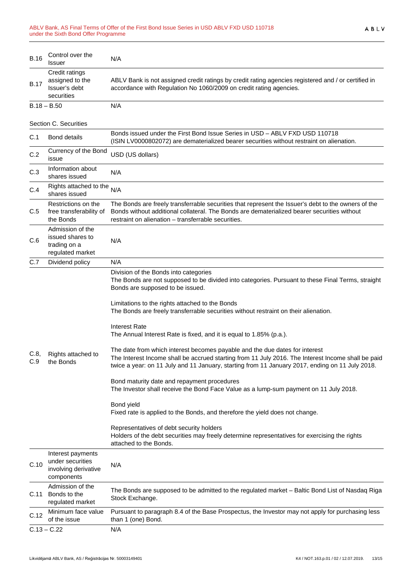| <b>B.16</b> | Control over the<br>Issuer                                                  | N/A                                                                                                                                                                                                                                                                                                                                                                                                                                                                                                                                                                                                                                                                                                                                                                                                                                                                                                                                                                                                                                                                                                 |
|-------------|-----------------------------------------------------------------------------|-----------------------------------------------------------------------------------------------------------------------------------------------------------------------------------------------------------------------------------------------------------------------------------------------------------------------------------------------------------------------------------------------------------------------------------------------------------------------------------------------------------------------------------------------------------------------------------------------------------------------------------------------------------------------------------------------------------------------------------------------------------------------------------------------------------------------------------------------------------------------------------------------------------------------------------------------------------------------------------------------------------------------------------------------------------------------------------------------------|
| <b>B.17</b> | Credit ratings<br>assigned to the<br>Issuer's debt<br>securities            | ABLV Bank is not assigned credit ratings by credit rating agencies registered and / or certified in<br>accordance with Regulation No 1060/2009 on credit rating agencies.                                                                                                                                                                                                                                                                                                                                                                                                                                                                                                                                                                                                                                                                                                                                                                                                                                                                                                                           |
|             | $B.18 - B.50$                                                               | N/A                                                                                                                                                                                                                                                                                                                                                                                                                                                                                                                                                                                                                                                                                                                                                                                                                                                                                                                                                                                                                                                                                                 |
|             | Section C. Securities                                                       |                                                                                                                                                                                                                                                                                                                                                                                                                                                                                                                                                                                                                                                                                                                                                                                                                                                                                                                                                                                                                                                                                                     |
| C.1         | <b>Bond details</b>                                                         | Bonds issued under the First Bond Issue Series in USD – ABLV FXD USD 110718<br>(ISIN LV0000802072) are dematerialized bearer securities without restraint on alienation.                                                                                                                                                                                                                                                                                                                                                                                                                                                                                                                                                                                                                                                                                                                                                                                                                                                                                                                            |
| C.2         | Currency of the Bond<br>issue                                               | USD (US dollars)                                                                                                                                                                                                                                                                                                                                                                                                                                                                                                                                                                                                                                                                                                                                                                                                                                                                                                                                                                                                                                                                                    |
| C.3         | Information about<br>shares issued                                          | N/A                                                                                                                                                                                                                                                                                                                                                                                                                                                                                                                                                                                                                                                                                                                                                                                                                                                                                                                                                                                                                                                                                                 |
| C.4         | Rights attached to the<br>shares issued                                     | N/A                                                                                                                                                                                                                                                                                                                                                                                                                                                                                                                                                                                                                                                                                                                                                                                                                                                                                                                                                                                                                                                                                                 |
| C.5         | Restrictions on the<br>free transferability of<br>the Bonds                 | The Bonds are freely transferrable securities that represent the Issuer's debt to the owners of the<br>Bonds without additional collateral. The Bonds are dematerialized bearer securities without<br>restraint on alienation - transferrable securities.                                                                                                                                                                                                                                                                                                                                                                                                                                                                                                                                                                                                                                                                                                                                                                                                                                           |
| C.6         | Admission of the<br>issued shares to<br>trading on a<br>regulated market    | N/A                                                                                                                                                                                                                                                                                                                                                                                                                                                                                                                                                                                                                                                                                                                                                                                                                                                                                                                                                                                                                                                                                                 |
| C.7         | Dividend policy                                                             | N/A                                                                                                                                                                                                                                                                                                                                                                                                                                                                                                                                                                                                                                                                                                                                                                                                                                                                                                                                                                                                                                                                                                 |
| C.8,<br>C.9 | Rights attached to<br>the Bonds                                             | Division of the Bonds into categories<br>The Bonds are not supposed to be divided into categories. Pursuant to these Final Terms, straight<br>Bonds are supposed to be issued.<br>Limitations to the rights attached to the Bonds<br>The Bonds are freely transferrable securities without restraint on their alienation.<br><b>Interest Rate</b><br>The Annual Interest Rate is fixed, and it is equal to 1.85% (p.a.).<br>The date from which interest becomes payable and the due dates for interest<br>The Interest Income shall be accrued starting from 11 July 2016. The Interest Income shall be paid<br>twice a year: on 11 July and 11 January, starting from 11 January 2017, ending on 11 July 2018.<br>Bond maturity date and repayment procedures<br>The Investor shall receive the Bond Face Value as a lump-sum payment on 11 July 2018.<br>Bond yield<br>Fixed rate is applied to the Bonds, and therefore the yield does not change.<br>Representatives of debt security holders<br>Holders of the debt securities may freely determine representatives for exercising the rights |
|             |                                                                             | attached to the Bonds.                                                                                                                                                                                                                                                                                                                                                                                                                                                                                                                                                                                                                                                                                                                                                                                                                                                                                                                                                                                                                                                                              |
| C.10        | Interest payments<br>under securities<br>involving derivative<br>components | N/A                                                                                                                                                                                                                                                                                                                                                                                                                                                                                                                                                                                                                                                                                                                                                                                                                                                                                                                                                                                                                                                                                                 |
| C.11        | Admission of the<br>Bonds to the<br>regulated market                        | The Bonds are supposed to be admitted to the regulated market - Baltic Bond List of Nasdaq Riga<br>Stock Exchange.                                                                                                                                                                                                                                                                                                                                                                                                                                                                                                                                                                                                                                                                                                                                                                                                                                                                                                                                                                                  |
| C.12        | Minimum face value<br>of the issue                                          | Pursuant to paragraph 8.4 of the Base Prospectus, the Investor may not apply for purchasing less<br>than 1 (one) Bond.                                                                                                                                                                                                                                                                                                                                                                                                                                                                                                                                                                                                                                                                                                                                                                                                                                                                                                                                                                              |
|             | $C.13 - C.22$                                                               | N/A                                                                                                                                                                                                                                                                                                                                                                                                                                                                                                                                                                                                                                                                                                                                                                                                                                                                                                                                                                                                                                                                                                 |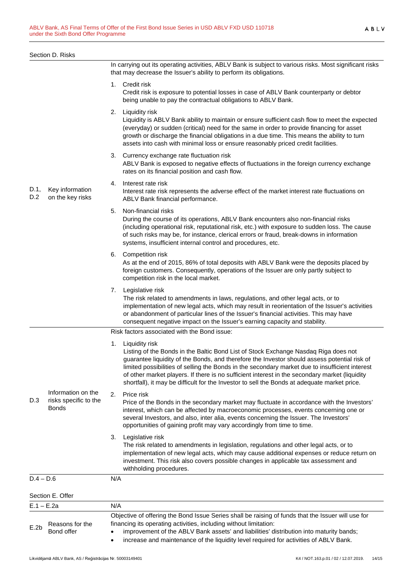|              | Section D. Risks                                            |                                                                                                                                                                                                                                                                                                                                                                                                                                                                                                                  |
|--------------|-------------------------------------------------------------|------------------------------------------------------------------------------------------------------------------------------------------------------------------------------------------------------------------------------------------------------------------------------------------------------------------------------------------------------------------------------------------------------------------------------------------------------------------------------------------------------------------|
|              |                                                             | In carrying out its operating activities, ABLV Bank is subject to various risks. Most significant risks<br>that may decrease the Issuer's ability to perform its obligations.                                                                                                                                                                                                                                                                                                                                    |
|              |                                                             | 1. Credit risk<br>Credit risk is exposure to potential losses in case of ABLV Bank counterparty or debtor<br>being unable to pay the contractual obligations to ABLV Bank.                                                                                                                                                                                                                                                                                                                                       |
| D.1,<br>D.2  | Key information<br>on the key risks                         | 2.<br>Liquidity risk<br>Liquidity is ABLV Bank ability to maintain or ensure sufficient cash flow to meet the expected<br>(everyday) or sudden (critical) need for the same in order to provide financing for asset<br>growth or discharge the financial obligations in a due time. This means the ability to turn<br>assets into cash with minimal loss or ensure reasonably priced credit facilities.                                                                                                          |
|              |                                                             | 3. Currency exchange rate fluctuation risk<br>ABLV Bank is exposed to negative effects of fluctuations in the foreign currency exchange<br>rates on its financial position and cash flow.                                                                                                                                                                                                                                                                                                                        |
|              |                                                             | Interest rate risk<br>4.<br>Interest rate risk represents the adverse effect of the market interest rate fluctuations on<br>ABLV Bank financial performance.                                                                                                                                                                                                                                                                                                                                                     |
|              |                                                             | Non-financial risks<br>5.<br>During the course of its operations, ABLV Bank encounters also non-financial risks<br>(including operational risk, reputational risk, etc.) with exposure to sudden loss. The cause<br>of such risks may be, for instance, clerical errors or fraud, break-downs in information<br>systems, insufficient internal control and procedures, etc.                                                                                                                                      |
|              |                                                             | 6. Competition risk<br>As at the end of 2015, 86% of total deposits with ABLV Bank were the deposits placed by<br>foreign customers. Consequently, operations of the Issuer are only partly subject to<br>competition risk in the local market.                                                                                                                                                                                                                                                                  |
|              |                                                             | Legislative risk<br>7.<br>The risk related to amendments in laws, regulations, and other legal acts, or to<br>implementation of new legal acts, which may result in reorientation of the Issuer's activities<br>or abandonment of particular lines of the Issuer's financial activities. This may have<br>consequent negative impact on the Issuer's earning capacity and stability.                                                                                                                             |
|              |                                                             | Risk factors associated with the Bond issue:                                                                                                                                                                                                                                                                                                                                                                                                                                                                     |
| D.3          | Information on the<br>risks specific to the<br><b>Bonds</b> | Liquidity risk<br>1.<br>Listing of the Bonds in the Baltic Bond List of Stock Exchange Nasdaq Riga does not<br>guarantee liquidity of the Bonds, and therefore the Investor should assess potential risk of<br>limited possibilities of selling the Bonds in the secondary market due to insufficient interest<br>of other market players. If there is no sufficient interest in the secondary market (liquidity<br>shortfall), it may be difficult for the Investor to sell the Bonds at adequate market price. |
|              |                                                             | 2.<br>Price risk<br>Price of the Bonds in the secondary market may fluctuate in accordance with the Investors'<br>interest, which can be affected by macroeconomic processes, events concerning one or<br>several Investors, and also, inter alia, events concerning the Issuer. The Investors'<br>opportunities of gaining profit may vary accordingly from time to time.                                                                                                                                       |
|              |                                                             | 3.<br>Legislative risk<br>The risk related to amendments in legislation, regulations and other legal acts, or to<br>implementation of new legal acts, which may cause additional expenses or reduce return on<br>investment. This risk also covers possible changes in applicable tax assessment and<br>withholding procedures.                                                                                                                                                                                  |
| $D.4 - D.6$  |                                                             | N/A                                                                                                                                                                                                                                                                                                                                                                                                                                                                                                              |
|              | Section E. Offer                                            |                                                                                                                                                                                                                                                                                                                                                                                                                                                                                                                  |
| $E.1 - E.2a$ |                                                             | N/A                                                                                                                                                                                                                                                                                                                                                                                                                                                                                                              |
| E.2b         | Reasons for the                                             | Objective of offering the Bond Issue Series shall be raising of funds that the Issuer will use for<br>financing its operating activities, including without limitation:                                                                                                                                                                                                                                                                                                                                          |

• improvement of the ABLV Bank assets' and liabilities' distribution into maturity bands; • increase and maintenance of the liquidity level required for activities of ABLV Bank.